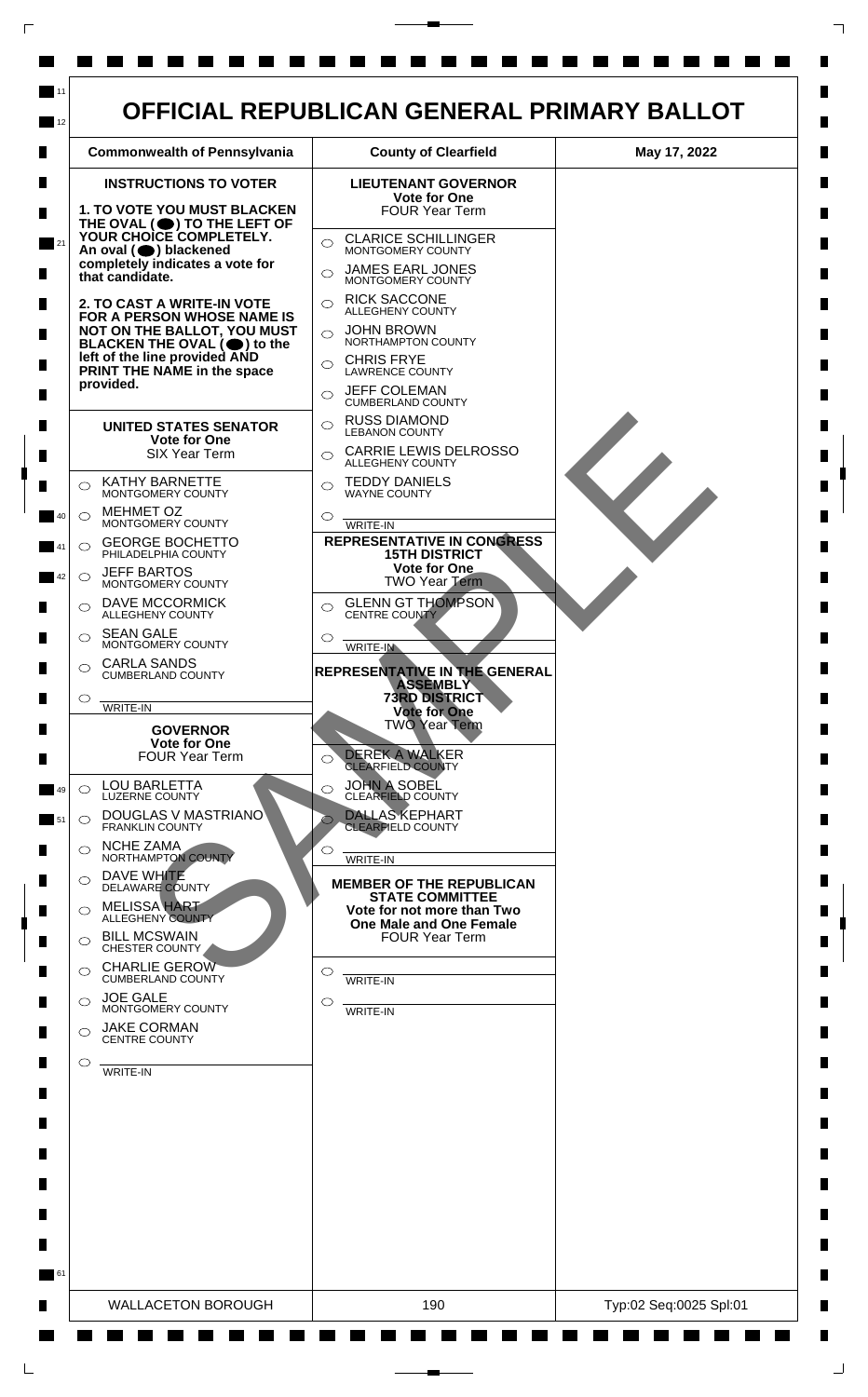

 $\Box$ 

 $\mathsf{L}$